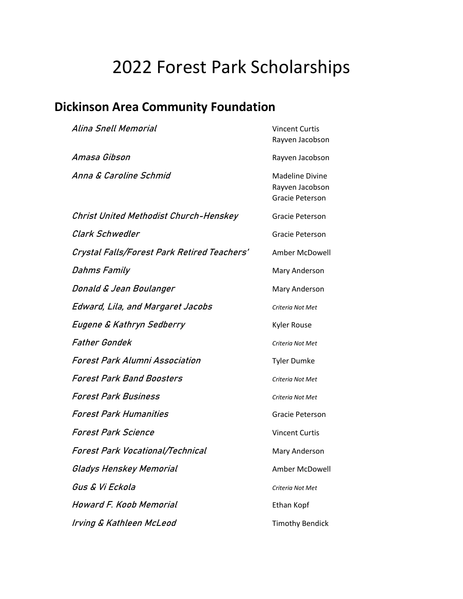## 2022 Forest Park Scholarships

## **Dickinson Area Community Foundation**

| Alina Snell Memorial                        | <b>Vincent Curtis</b><br>Rayven Jacobson                     |
|---------------------------------------------|--------------------------------------------------------------|
| Amasa Gibson                                | Rayven Jacobson                                              |
| Anna & Caroline Schmid                      | <b>Madeline Divine</b><br>Rayven Jacobson<br>Gracie Peterson |
| Christ United Methodist Church-Henskey      | Gracie Peterson                                              |
| Clark Schwedler                             | Gracie Peterson                                              |
| Crystal Falls/Forest Park Retired Teachers' | Amber McDowell                                               |
| Dahms Family                                | Mary Anderson                                                |
| Donald & Jean Boulanger                     | Mary Anderson                                                |
| Edward, Lila, and Margaret Jacobs           | Criteria Not Met                                             |
| Eugene & Kathryn Sedberry                   | <b>Kyler Rouse</b>                                           |
| <b>Father Gondek</b>                        | Criteria Not Met                                             |
| Forest Park Alumni Association              | <b>Tyler Dumke</b>                                           |
| <b>Forest Park Band Boosters</b>            | Criteria Not Met                                             |
| <b>Forest Park Business</b>                 | Criteria Not Met                                             |
| <b>Forest Park Humanities</b>               | Gracie Peterson                                              |
| Forest Park Science                         | <b>Vincent Curtis</b>                                        |
| <b>Forest Park Vocational/Technical</b>     | Mary Anderson                                                |
| Gladys Henskey Memorial                     | Amber McDowell                                               |
| Gus & Vi Eckola                             | Criteria Not Met                                             |
| Howard F. Koob Memorial                     | Ethan Kopf                                                   |
| Irving & Kathleen McLeod                    | <b>Timothy Bendick</b>                                       |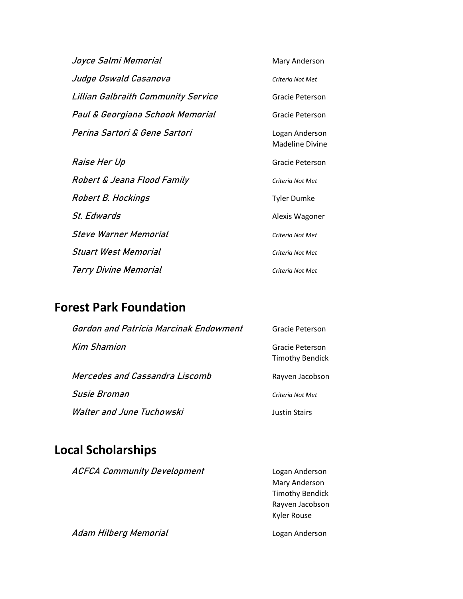| Joyce Salmi Memorial                | Mary Anderson                            |
|-------------------------------------|------------------------------------------|
| Judge Oswald Casanova               | Criteria Not Met                         |
| Lillian Galbraith Community Service | Gracie Peterson                          |
| Paul & Georgiana Schook Memorial    | Gracie Peterson                          |
| Perina Sartori & Gene Sartori       | Logan Anderson<br><b>Madeline Divine</b> |
| Raise Her Up                        | Gracie Peterson                          |
| Robert & Jeana Flood Family         | Criteria Not Met                         |
| Robert B. Hockings                  | <b>Tyler Dumke</b>                       |
| <i>St. Edwards</i>                  | Alexis Wagoner                           |
| <i><b>Steve Warner Memorial</b></i> | Criteria Not Met                         |
| Stuart West Memorial                | Criteria Not Met                         |
| Terry Divine Memorial               | Criteria Not Met                         |

## **Forest Park Foundation**

| Gordon and Patricia Marcinak Endowment | Gracie Peterson                           |
|----------------------------------------|-------------------------------------------|
| Kim Shamion                            | Gracie Peterson<br><b>Timothy Bendick</b> |
| Mercedes and Cassandra Liscomb         | Rayven Jacobson                           |
| Susie Broman                           | Criteria Not Met                          |
| Walter and June Tuchowski              | <b>Justin Stairs</b>                      |

## **Local Scholarships**

| <b>ACFCA Community Development</b> | Logan Anderson         |
|------------------------------------|------------------------|
|                                    | Mary Anderson          |
|                                    | <b>Timothy Bendick</b> |
|                                    | Rayven Jacobson        |
|                                    | <b>Kyler Rouse</b>     |
| Adam Hilberg Memorial              | Logan Anderson         |